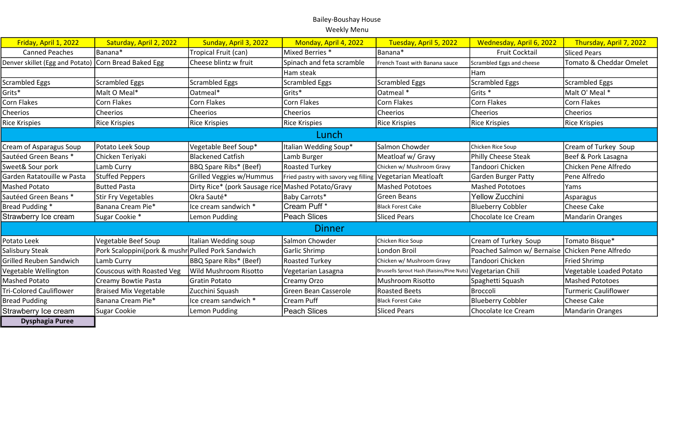## Bailey-Boushay House Weekly Menu

| Friday, April 1, 2022                                | Saturday, April 2, 2022      | Sunday, April 3, 2022                              | Monday, April 4, 2022                | Tuesday, April 5, 2022                                       | Wednesday, April 6, 2022                        | Thursday, April 7, 2022 |
|------------------------------------------------------|------------------------------|----------------------------------------------------|--------------------------------------|--------------------------------------------------------------|-------------------------------------------------|-------------------------|
| <b>Canned Peaches</b>                                | Banana*                      | Tropical Fruit (can)                               | Mixed Berries *                      | Banana*                                                      | <b>Fruit Cocktail</b>                           | <b>Sliced Pears</b>     |
| Denver skillet (Egg and Potato) Corn Bread Baked Egg |                              | Cheese blintz w fruit                              | Spinach and feta scramble            | French Toast with Banana sauce                               | Scrambled Eggs and cheese                       | Tomato & Cheddar Omelet |
|                                                      |                              |                                                    | Ham steak                            |                                                              | l Ham                                           |                         |
| <b>Scrambled Eggs</b>                                | <b>Scrambled Eggs</b>        | <b>Scrambled Eggs</b>                              | <b>Scrambled Eggs</b>                | <b>Scrambled Eggs</b>                                        | Scrambled Eggs                                  | Scrambled Eggs          |
| Grits*                                               | Malt O Meal*                 | Oatmeal*                                           | Grits*                               | Oatmeal *                                                    | Grits <sup>*</sup>                              | Malt O' Meal *          |
| Corn Flakes                                          | Corn Flakes                  | <b>Corn Flakes</b>                                 | Corn Flakes                          | <b>Corn Flakes</b>                                           | Corn Flakes                                     | Corn Flakes             |
| Cheerios                                             | Cheerios                     | Cheerios                                           | Cheerios                             | Cheerios                                                     | <b>Cheerios</b>                                 | <b>Cheerios</b>         |
| <b>Rice Krispies</b>                                 | <b>Rice Krispies</b>         | <b>Rice Krispies</b>                               | Rice Krispies                        | <b>Rice Krispies</b>                                         | Rice Krispies                                   | <b>Rice Krispies</b>    |
| Lunch                                                |                              |                                                    |                                      |                                                              |                                                 |                         |
| Cream of Asparagus Soup                              | Potato Leek Soup             | Vegetable Beef Soup*                               | Italian Wedding Soup*                | Salmon Chowder                                               | Chicken Rice Soup                               | Cream of Turkey Soup    |
| Sautéed Green Beans *                                | Chicken Teriyaki             | <b>Blackened Catfish</b>                           | Lamb Burger                          | Meatloaf w/ Gravy                                            | Philly Cheese Steak                             | Beef & Pork Lasagna     |
| Sweet& Sour pork                                     | Lamb Curry                   | <b>BBQ Spare Ribs* (Beef)</b>                      | <b>Roasted Turkey</b>                | Chicken w/ Mushroom Gravy                                    | Tandoori Chicken                                | Chicken Pene Alfredo    |
| Garden Ratatouille w Pasta                           | <b>Stuffed Peppers</b>       | Grilled Veggies w/Hummus                           | Fried pastry with savory veg filling | Vegetarian Meatloaft                                         | Garden Burger Patty                             | Pene Alfredo            |
| Mashed Potato                                        | <b>Butted Pasta</b>          | Dirty Rice* (pork Sausage rice Mashed Potato/Gravy |                                      | <b>Mashed Pototoes</b>                                       | <b>Mashed Pototoes</b>                          | Yams                    |
| Sautéed Green Beans *                                | <b>Stir Fry Vegetables</b>   | Okra Sauté*                                        | Baby Carrots*                        | Green Beans                                                  | Yellow Zucchini                                 | Asparagus               |
| Bread Pudding *                                      | Banana Cream Pie*            | Ice cream sandwich *                               | Cream Puff <sup>*</sup>              | <b>Black Forest Cake</b>                                     | <b>Blueberry Cobbler</b>                        | <b>Cheese Cake</b>      |
| Strawberry Ice cream                                 | Sugar Cookie *               | Lemon Pudding                                      | Peach Slices                         | <b>Sliced Pears</b>                                          | Chocolate Ice Cream                             | Mandarin Oranges        |
| <b>Dinner</b>                                        |                              |                                                    |                                      |                                                              |                                                 |                         |
| Potato Leek                                          | Vegetable Beef Soup          | Italian Wedding soup                               | Salmon Chowder                       | Chicken Rice Soup                                            | Cream of Turkey Soup                            | Tomato Bisque*          |
| Salisbury Steak                                      | Pork Scaloppini(pork & mushr | <b>Pulled Pork Sandwich</b>                        | Garlic Shrimp                        | London Broil                                                 | Poached Salmon w/ Bernaise Chicken Pene Alfredo |                         |
| <b>Grilled Reuben Sandwich</b>                       | Lamb Curry                   | <b>BBQ Spare Ribs* (Beef)</b>                      | <b>Roasted Turkey</b>                | Chicken w/ Mushroom Gravy                                    | Tandoori Chicken                                | <b>Fried Shrimp</b>     |
| Vegetable Wellington                                 | Couscous with Roasted Veg    | Wild Mushroom Risotto                              | Vegetarian Lasagna                   | Brussells Sprout Hash (Raisins/Pine Nuts)   Vegetarian Chili |                                                 | Vegetable Loaded Potato |
| <b>Mashed Potato</b>                                 | Creamy Bowtie Pasta          | Gratin Potato                                      | Creamy Orzo                          | <b>Mushroom Risotto</b>                                      | Spaghetti Squash                                | Mashed Pototoes         |
| <b>Tri-Colored Cauliflower</b>                       | <b>Braised Mix Vegetable</b> | Zucchini Squash                                    | Green Bean Casserole                 | <b>Roasted Beets</b>                                         | <b>Broccoli</b>                                 | Turmeric Cauliflower    |
| <b>Bread Pudding</b>                                 | Banana Cream Pie*            | Ice cream sandwich *                               | Cream Puff                           | <b>Black Forest Cake</b>                                     | <b>Blueberry Cobbler</b>                        | Cheese Cake             |
| Strawberry Ice cream                                 | <b>Sugar Cookie</b>          | Lemon Pudding                                      | <b>Peach Slices</b>                  | <b>Sliced Pears</b>                                          | Chocolate Ice Cream                             | Mandarin Oranges        |
| <b>Dysphagia Puree</b>                               |                              |                                                    |                                      |                                                              |                                                 |                         |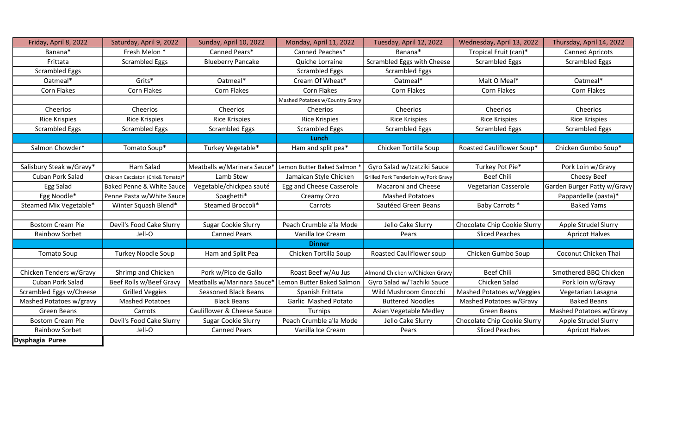| Friday, April 8, 2022    | Saturday, April 9, 2022            | Sunday, April 10, 2022      | Monday, April 11, 2022          | Tuesday, April 12, 2022              | Wednesday, April 13, 2022    | Thursday, April 14, 2022    |
|--------------------------|------------------------------------|-----------------------------|---------------------------------|--------------------------------------|------------------------------|-----------------------------|
| Banana*                  | Fresh Melon *                      | Canned Pears*               | Canned Peaches*                 | Banana*                              | Tropical Fruit (can)*        | <b>Canned Apricots</b>      |
| Frittata                 | <b>Scrambled Eggs</b>              | <b>Blueberry Pancake</b>    | Quiche Lorraine                 | Scrambled Eggs with Cheese           | <b>Scrambled Eggs</b>        | <b>Scrambled Eggs</b>       |
| <b>Scrambled Eggs</b>    |                                    |                             | <b>Scrambled Eggs</b>           | <b>Scrambled Eggs</b>                |                              |                             |
| Oatmeal*                 | Grits*                             | Oatmeal*                    | Cream Of Wheat*                 | Oatmeal*                             | Malt O Meal*                 | Oatmeal*                    |
| Corn Flakes              | Corn Flakes                        | Corn Flakes                 | Corn Flakes                     | Corn Flakes                          | Corn Flakes                  | Corn Flakes                 |
|                          |                                    |                             | Mashed Potatoes w/Country Gravy |                                      |                              |                             |
| Cheerios                 | Cheerios                           | Cheerios                    | Cheerios                        | Cheerios                             | Cheerios                     | Cheerios                    |
| <b>Rice Krispies</b>     | <b>Rice Krispies</b>               | <b>Rice Krispies</b>        | <b>Rice Krispies</b>            | <b>Rice Krispies</b>                 | <b>Rice Krispies</b>         | <b>Rice Krispies</b>        |
| <b>Scrambled Eggs</b>    | <b>Scrambled Eggs</b>              | <b>Scrambled Eggs</b>       | <b>Scrambled Eggs</b>           | <b>Scrambled Eggs</b>                | <b>Scrambled Eggs</b>        | <b>Scrambled Eggs</b>       |
|                          |                                    |                             | Lunch                           |                                      |                              |                             |
| Salmon Chowder*          | Tomato Soup*                       | Turkey Vegetable*           | Ham and split pea*              | Chicken Tortilla Soup                | Roasted Cauliflower Soup*    | Chicken Gumbo Soup*         |
|                          |                                    |                             |                                 |                                      |                              |                             |
| Salisbury Steak w/Gravy* | Ham Salad                          | Meatballs w/Marinara Sauce* | Lemon Butter Baked Salmon       | Gyro Salad w/tzatziki Sauce          | Turkey Pot Pie*              | Pork Loin w/Gravy           |
| Cuban Pork Salad         | Chicken Cacciatori (Chix& Tomato)* | Lamb Stew                   | Jamaican Style Chicken          | Grilled Pork Tenderloin w/Pork Gravy | <b>Beef Chili</b>            | Cheesy Beef                 |
| Egg Salad                | Baked Penne & White Sauce          | Vegetable/chickpea sauté    | Egg and Cheese Casserole        | Macaroni and Cheese                  | Vegetarian Casserole         | Garden Burger Patty w/Gravy |
| Egg Noodle*              | Penne Pasta w/White Sauce          | Spaghetti*                  | Creamy Orzo                     | <b>Mashed Potatoes</b>               |                              | Pappardelle (pasta)*        |
| Steamed Mix Vegetable*   | Winter Squash Blend*               | Steamed Broccoli*           | Carrots                         | Sautéed Green Beans                  | Baby Carrots *               | <b>Baked Yams</b>           |
|                          |                                    |                             |                                 |                                      |                              |                             |
| <b>Bostom Cream Pie</b>  | Devil's Food Cake Slurry           | <b>Sugar Cookie Slurry</b>  | Peach Crumble a'la Mode         | Jello Cake Slurry                    | Chocolate Chip Cookie Slurry | Apple Strudel Slurry        |
| Rainbow Sorbet           | Jell-O                             | <b>Canned Pears</b>         | Vanilla Ice Cream               | Pears                                | <b>Sliced Peaches</b>        | <b>Apricot Halves</b>       |
|                          |                                    |                             | <b>Dinner</b>                   |                                      |                              |                             |
| <b>Tomato Soup</b>       | <b>Turkey Noodle Soup</b>          | Ham and Split Pea           | Chicken Tortilla Soup           | <b>Roasted Cauliflower soup</b>      | Chicken Gumbo Soup           | Coconut Chicken Thai        |
|                          |                                    |                             |                                 |                                      |                              |                             |
| Chicken Tenders w/Gravy  | Shrimp and Chicken                 | Pork w/Pico de Gallo        | Roast Beef w/Au Jus             | Almond Chicken w/Chicken Gravy       | <b>Beef Chili</b>            | Smothered BBQ Chicken       |
| Cuban Pork Salad         | Beef Rolls w/Beef Gravy            | Meatballs w/Marinara Sauce* | Lemon Butter Baked Salmon       | Gyro Salad w/Tazhiki Sauce           | Chicken Salad                | Pork loin w/Gravy           |
| Scrambled Eggs w/Cheese  | <b>Grilled Veggies</b>             | <b>Seasoned Black Beans</b> | Spanish Frittata                | Wild Mushroom Gnocchi                | Mashed Potatoes w/Veggies    | Vegetarian Lasagna          |
| Mashed Potatoes w/gravy  | <b>Mashed Potatoes</b>             | <b>Black Beans</b>          | Garlic Mashed Potato            | <b>Buttered Noodles</b>              | Mashed Potatoes w/Gravy      | <b>Baked Beans</b>          |
| Green Beans              | Carrots                            | Cauliflower & Cheese Sauce  | Turnips                         | Asian Vegetable Medley               | Green Beans                  | Mashed Potatoes w/Gravy     |
| <b>Bostom Cream Pie</b>  | Devil's Food Cake Slurry           | <b>Sugar Cookie Slurry</b>  | Peach Crumble a'la Mode         | Jello Cake Slurry                    | Chocolate Chip Cookie Slurry | Apple Strudel Slurry        |
| Rainbow Sorbet           | Jell-O                             | <b>Canned Pears</b>         | Vanilla Ice Cream               | Pears                                | <b>Sliced Peaches</b>        | <b>Apricot Halves</b>       |
| Dysphagia Puree          |                                    |                             |                                 |                                      |                              |                             |

┙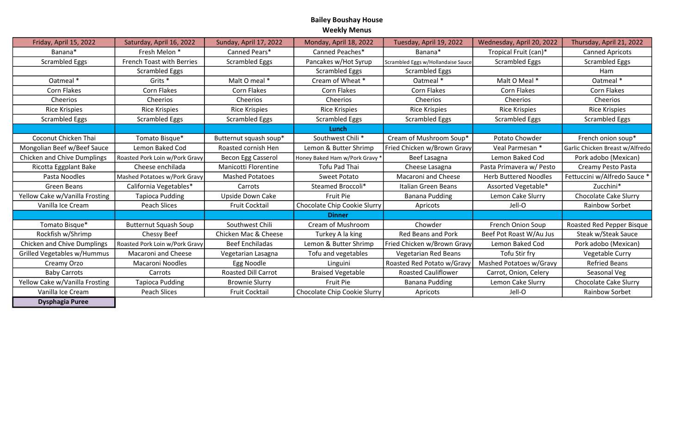## Bailey Boushay House Weekly Menus

| Friday, April 15, 2022             | Saturday, April 16, 2022       | Sunday, April 17, 2022     | Monday, April 18, 2022       | Tuesday, April 19, 2022            | Wednesday, April 20, 2022    | Thursday, April 21, 2022        |
|------------------------------------|--------------------------------|----------------------------|------------------------------|------------------------------------|------------------------------|---------------------------------|
| Banana*                            | Fresh Melon *                  | Canned Pears*              | Canned Peaches*              | Banana*                            | Tropical Fruit (can)*        | <b>Canned Apricots</b>          |
| <b>Scrambled Eggs</b>              | French Toast with Berries      | <b>Scrambled Eggs</b>      | Pancakes w/Hot Syrup         | Scrambled Eggs w/Hollandaise Sauce | <b>Scrambled Eggs</b>        | <b>Scrambled Eggs</b>           |
|                                    | <b>Scrambled Eggs</b>          |                            | <b>Scrambled Eggs</b>        | <b>Scrambled Eggs</b>              |                              | Ham                             |
| Oatmeal *                          | Grits <sup>*</sup>             | Malt O meal *              | Cream of Wheat *             | Oatmeal *                          | Malt O Meal *                | Oatmeal *                       |
| Corn Flakes                        | Corn Flakes                    | Corn Flakes                | <b>Corn Flakes</b>           | Corn Flakes                        | Corn Flakes                  | Corn Flakes                     |
| Cheerios                           | Cheerios                       | Cheerios                   | Cheerios                     | Cheerios                           | Cheerios                     | Cheerios                        |
| <b>Rice Krispies</b>               | <b>Rice Krispies</b>           | <b>Rice Krispies</b>       | <b>Rice Krispies</b>         | <b>Rice Krispies</b>               | <b>Rice Krispies</b>         | <b>Rice Krispies</b>            |
| <b>Scrambled Eggs</b>              | <b>Scrambled Eggs</b>          | <b>Scrambled Eggs</b>      | <b>Scrambled Eggs</b>        | <b>Scrambled Eggs</b>              | <b>Scrambled Eggs</b>        | <b>Scrambled Eggs</b>           |
|                                    |                                |                            | Lunch                        |                                    |                              |                                 |
| Coconut Chicken Thai               | Tomato Bisque*                 | Butternut squash soup*     | Southwest Chili*             | Cream of Mushroom Soup*            | Potato Chowder               | French onion soup*              |
| Mongolian Beef w/Beef Sauce        | Lemon Baked Cod                | Roasted cornish Hen        | Lemon & Butter Shrimp        | Fried Chicken w/Brown Gravy        | Veal Parmesan *              | Garlic Chicken Breast w/Alfredo |
| <b>Chicken and Chive Dumplings</b> | Roasted Pork Loin w/Pork Gravy | <b>Becon Egg Casserol</b>  | Honey Baked Ham w/Pork Gravy | Beef Lasagna                       | Lemon Baked Cod              | Pork adobo (Mexican)            |
| Ricotta Eggplant Bake              | Cheese enchilada               | Manicotti Florentine       | Tofu Pad Thai                | Cheese Lasagna                     | Pasta Primavera w/ Pesto     | Creamy Pesto Pasta              |
| Pasta Noodles                      | Mashed Potatoes w/Pork Gravy   | <b>Mashed Potatoes</b>     | Sweet Potato                 | Macaroni and Cheese                | <b>Herb Buttered Noodles</b> | Fettuccini w/Alfredo Sauce *    |
| Green Beans                        | California Vegetables*         | Carrots                    | Steamed Broccoli*            | Italian Green Beans                | Assorted Vegetable*          | Zucchini*                       |
| Yellow Cake w/Vanilla Frosting     | <b>Tapioca Pudding</b>         | <b>Upside Down Cake</b>    | Fruit Pie                    | <b>Banana Pudding</b>              | Lemon Cake Slurry            | <b>Chocolate Cake Slurry</b>    |
| Vanilla Ice Cream                  | Peach Slices                   | <b>Fruit Cocktail</b>      | Chocolate Chip Cookie Slurry | Apricots                           | Jell-O                       | <b>Rainbow Sorbet</b>           |
|                                    |                                |                            | <b>Dinner</b>                |                                    |                              |                                 |
| Tomato Bisque*                     | <b>Butternut Squash Soup</b>   | Southwest Chili            | Cream of Mushroom            | Chowder                            | French Onion Soup            | Roasted Red Pepper Bisque       |
| Rockfish w/Shrimp                  | Chessy Beef                    | Chicken Mac & Cheese       | Turkey A la king             | <b>Red Beans and Pork</b>          | Beef Pot Roast W/Au Jus      | Steak w/Steak Sauce             |
| <b>Chicken and Chive Dumplings</b> | Roasted Pork Loin w/Pork Gravy | <b>Beef Enchiladas</b>     | Lemon & Butter Shrimp        | Fried Chicken w/Brown Gravy        | Lemon Baked Cod              | Pork adobo (Mexican)            |
| Grilled Vegetables w/Hummus        | Macaroni and Cheese            | Vegetarian Lasagna         | Tofu and vegetables          | Vegetarian Red Beans               | Tofu Stir fry                | Vegetable Curry                 |
| Creamy Orzo                        | <b>Macaroni Noodles</b>        | Egg Noodle                 | Linguini                     | Roasted Red Potato w/Gravy         | Mashed Potatoes w/Gravy      | <b>Refried Beans</b>            |
| <b>Baby Carrots</b>                | Carrots                        | <b>Roasted Dill Carrot</b> | <b>Braised Vegetable</b>     | <b>Roasted Cauliflower</b>         | Carrot, Onion, Celery        | Seasonal Veg                    |
| Yellow Cake w/Vanilla Frosting     | <b>Tapioca Pudding</b>         | <b>Brownie Slurry</b>      | Fruit Pie                    | <b>Banana Pudding</b>              | Lemon Cake Slurry            | Chocolate Cake Slurry           |
| Vanilla Ice Cream                  | Peach Slices                   | <b>Fruit Cocktail</b>      | Chocolate Chip Cookie Slurry | Apricots                           | Jell-O                       | <b>Rainbow Sorbet</b>           |
| <b>Dysphagia Puree</b>             |                                |                            |                              |                                    |                              |                                 |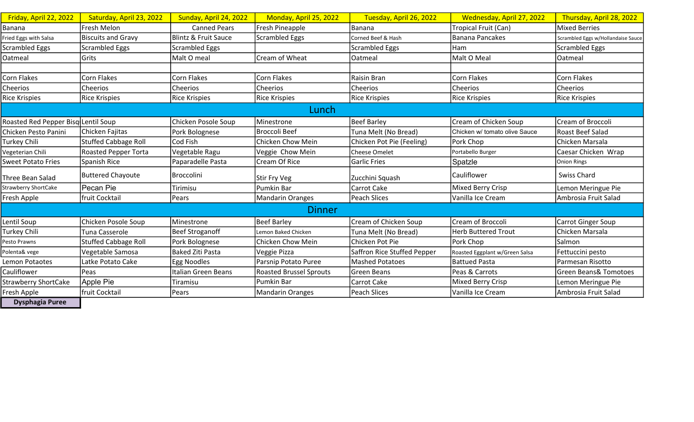| Friday, April 22, 2022              | Saturday, April 23, 2022    | Sunday, April 24, 2022          | Monday, April 25, 2022         | Tuesday, April 26, 2022     | Wednesday, April 27, 2022      | Thursday, April 28, 2022           |
|-------------------------------------|-----------------------------|---------------------------------|--------------------------------|-----------------------------|--------------------------------|------------------------------------|
| Banana                              | Fresh Melon                 | <b>Canned Pears</b>             | Fresh Pineapple                | Banana                      | Tropical Fruit (Can)           | <b>Mixed Berries</b>               |
| Fried Eggs with Salsa               | <b>Biscuits and Gravy</b>   | <b>Blintz &amp; Fruit Sauce</b> | <b>Scrambled Eggs</b>          | Corned Beef & Hash          | Banana Pancakes                | Scrambled Eggs w/Hollandaise Sauce |
| <b>Scrambled Eggs</b>               | <b>Scrambled Eggs</b>       | <b>Scrambled Eggs</b>           |                                | Scrambled Eggs              | Ham                            | <b>Scrambled Eggs</b>              |
| Oatmeal                             | Grits                       | Malt O meal                     | Cream of Wheat                 | Oatmeal                     | Malt O Meal                    | Oatmeal                            |
|                                     |                             |                                 |                                |                             |                                |                                    |
| Corn Flakes                         | <b>Corn Flakes</b>          | <b>Corn Flakes</b>              | Corn Flakes                    | Raisin Bran                 | <b>Corn Flakes</b>             | <b>Corn Flakes</b>                 |
| Cheerios                            | Cheerios                    | Cheerios                        | <b>Cheerios</b>                | Cheerios                    | Cheerios                       | Cheerios                           |
| <b>Rice Krispies</b>                | <b>Rice Krispies</b>        | <b>Rice Krispies</b>            | Rice Krispies                  | Rice Krispies               | <b>Rice Krispies</b>           | <b>Rice Krispies</b>               |
| Lunch                               |                             |                                 |                                |                             |                                |                                    |
| Roasted Red Pepper Bisq Lentil Soup |                             | Chicken Posole Soup             | Minestrone                     | <b>Beef Barley</b>          | Cream of Chicken Soup          | <b>Cream of Broccoli</b>           |
| Chicken Pesto Panini                | Chicken Fajitas             | Pork Bolognese                  | <b>Broccoli Beef</b>           | Tuna Melt (No Bread)        | Chicken w/ tomato olive Sauce  | Roast Beef Salad                   |
| Turkey Chili                        | <b>Stuffed Cabbage Roll</b> | Cod Fish                        | Chicken Chow Mein              | Chicken Pot Pie (Feeling)   | Pork Chop                      | Chicken Marsala                    |
| Vegeterian Chili                    | Roasted Pepper Torta        | Vegetable Ragu                  | Veggie Chow Mein               | <b>Cheese Omelet</b>        | Portabello Burger              | Caesar Chicken Wrap                |
| <b>Sweet Potato Fries</b>           | Spanish Rice                | Paparadelle Pasta               | Cream Of Rice                  | Garlic Fries                | Spatzle                        | Onion Rings                        |
| Three Bean Salad                    | <b>Buttered Chayoute</b>    | <b>Broccolini</b>               | Stir Fry Veg                   | Zucchini Squash             | Cauliflower                    | Swiss Chard                        |
| <b>Strawberry ShortCake</b>         | Pecan Pie                   | Tirimisu                        | Pumkin Bar                     | Carrot Cake                 | <b>Mixed Berry Crisp</b>       | Lemon Meringue Pie                 |
| Fresh Apple                         | fruit Cocktail              | Pears                           | <b>Mandarin Oranges</b>        | <b>Peach Slices</b>         | Vanilla Ice Cream              | Ambrosia Fruit Salad               |
| <b>Dinner</b>                       |                             |                                 |                                |                             |                                |                                    |
| Lentil Soup                         | Chicken Posole Soup         | Minestrone                      | Beef Barley                    | Cream of Chicken Soup       | Cream of Broccoli              | <b>Carrot Ginger Soup</b>          |
| Turkey Chili                        | Tuna Casserole              | <b>Beef Stroganoff</b>          | Lemon Baked Chicken            | Tuna Melt (No Bread)        | <b>Herb Buttered Trout</b>     | Chicken Marsala                    |
| Pesto Prawns                        | <b>Stuffed Cabbage Roll</b> | Pork Bolognese                  | Chicken Chow Mein              | Chicken Pot Pie             | Pork Chop                      | Salmon                             |
| Polenta& vege                       | Vegetable Samosa            | <b>Baked Ziti Pasta</b>         | Veggie Pizza                   | Saffron Rice Stuffed Pepper | Roasted Eggplant w/Green Salsa | Fettuccini pesto                   |
| Lemon Potaotes                      | Latke Potato Cake           | Egg Noodles                     | Parsnip Potato Puree           | <b>Mashed Potatoes</b>      | <b>Battued Pasta</b>           | Parmesan Risotto                   |
| Cauliflower                         | Peas                        | Italian Green Beans             | <b>Roasted Brussel Sprouts</b> | <b>Green Beans</b>          | Peas & Carrots                 | <b>Green Beans&amp; Tomotoes</b>   |
| <b>Strawberry ShortCake</b>         | Apple Pie                   | Tiramisu                        | Pumkin Bar                     | <b>Carrot Cake</b>          | Mixed Berry Crisp              | Lemon Meringue Pie                 |
| Fresh Apple                         | fruit Cocktail              | Pears                           | Mandarin Oranges               | Peach Slices                | Vanilla Ice Cream              | Ambrosia Fruit Salad               |
| <b>Dysphagia Puree</b>              |                             |                                 |                                |                             |                                |                                    |